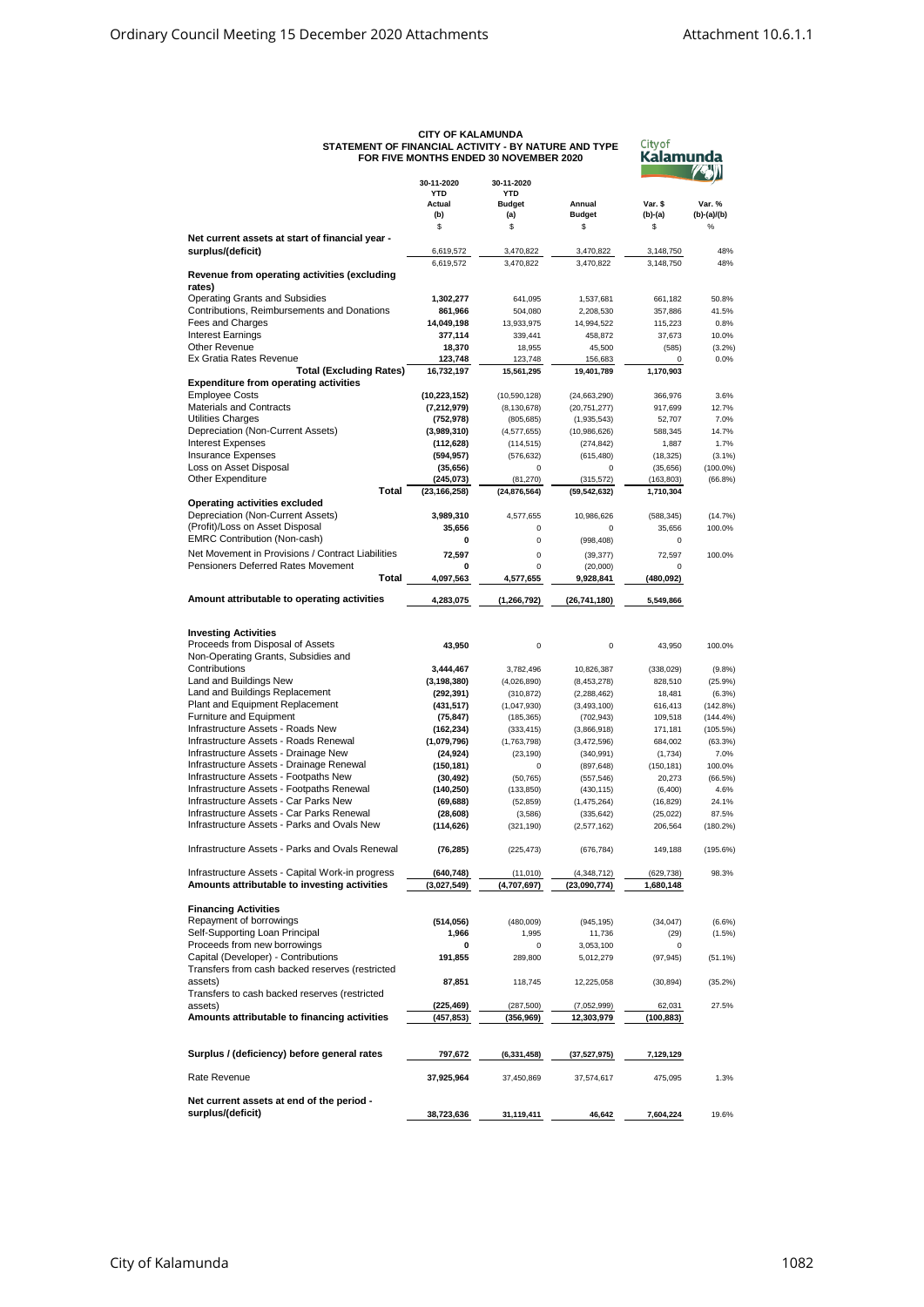| STATEMENT OF FINANCIAL ACTIVITY - BY NATURE AND TYPE                                                   | <b>CIIY OF KALAMUNDA</b><br>FOR FIVE MONTHS ENDED 30 NOVEMBER 2020 | <b>City of</b><br>Kalamunda |                          |                      |               |
|--------------------------------------------------------------------------------------------------------|--------------------------------------------------------------------|-----------------------------|--------------------------|----------------------|---------------|
|                                                                                                        | 30-11-2020                                                         | 30-11-2020                  |                          |                      |               |
|                                                                                                        | <b>YTD</b>                                                         | <b>YTD</b>                  |                          |                      |               |
|                                                                                                        | Actual                                                             | <b>Budget</b>               | Annual                   | Var. \$              | Var. %        |
|                                                                                                        | (b)                                                                | (a)                         | <b>Budget</b>            | $(b)-(a)$            | $(b)-(a)/(b)$ |
|                                                                                                        | \$                                                                 | \$                          | \$                       | \$                   | $\%$          |
| Net current assets at start of financial year -                                                        |                                                                    |                             |                          |                      |               |
| surplus/(deficit)                                                                                      | 6,619,572                                                          | 3,470,822                   | 3,470,822                | 3,148,750            | 48%           |
|                                                                                                        | 6,619,572                                                          | 3,470,822                   | 3,470,822                | 3,148,750            | 48%           |
| Revenue from operating activities (excluding                                                           |                                                                    |                             |                          |                      |               |
| rates)                                                                                                 |                                                                    |                             |                          |                      |               |
| <b>Operating Grants and Subsidies</b><br>Contributions, Reimbursements and Donations                   | 1,302,277                                                          | 641,095                     | 1,537,681                | 661,182              | 50.8%         |
|                                                                                                        | 861,966                                                            | 504,080                     | 2,208,530                | 357,886              | 41.5%         |
| Fees and Charges                                                                                       | 14,049,198                                                         | 13,933,975                  | 14,994,522               | 115,223              | 0.8%          |
| <b>Interest Earnings</b>                                                                               | 377,114                                                            | 339,441                     | 458,872                  | 37,673               | 10.0%         |
| Other Revenue                                                                                          | 18,370                                                             | 18,955                      | 45,500                   | (585)                | (3.2%)        |
| Ex Gratia Rates Revenue                                                                                | 123,748                                                            | 123,748                     | 156,683                  | 0                    | 0.0%          |
| <b>Total (Excluding Rates)</b>                                                                         | 16,732,197                                                         | 15,561,295                  | 19,401,789               | 1,170,903            |               |
| <b>Expenditure from operating activities</b>                                                           |                                                                    |                             |                          |                      |               |
| <b>Employee Costs</b>                                                                                  | (10, 223, 152)                                                     | (10, 590, 128)              | (24, 663, 290)           | 366,976              | 3.6%          |
| <b>Materials and Contracts</b>                                                                         | (7, 212, 979)                                                      | (8, 130, 678)               | (20, 751, 277)           | 917,699              | 12.7%         |
| Utilities Charges                                                                                      | (752, 978)                                                         | (805, 685)                  | (1,935,543)              | 52,707               | 7.0%          |
| Depreciation (Non-Current Assets)                                                                      | (3,989,310)                                                        | (4,577,655)                 | (10,986,626)             | 588,345              | 14.7%         |
| <b>Interest Expenses</b>                                                                               | (112, 628)                                                         | (114, 515)                  | (274, 842)               | 1,887                | 1.7%          |
| <b>Insurance Expenses</b>                                                                              | (594, 957)                                                         | (576, 632)                  | (615, 480)               | (18, 325)            | (3.1%)        |
| Loss on Asset Disposal                                                                                 | (35, 656)                                                          | 0                           | 0                        | (35, 656)            | $(100.0\%)$   |
| <b>Other Expenditure</b>                                                                               | (245,073)                                                          | (81, 270)                   | (315, 572)               | (163, 803)           | $(66.8\%)$    |
| Total                                                                                                  | (23, 166, 258)                                                     | (24, 876, 564)              | (59, 542, 632)           | 1,710,304            |               |
| Operating activities excluded                                                                          |                                                                    |                             |                          |                      |               |
| Depreciation (Non-Current Assets)                                                                      | 3,989,310                                                          | 4,577,655                   | 10,986,626               | (588, 345)           | (14.7%)       |
| (Profit)/Loss on Asset Disposal                                                                        | 35,656                                                             | 0                           | 0                        | 35,656               | 100.0%        |
| <b>EMRC Contribution (Non-cash)</b>                                                                    | 0                                                                  | 0                           | (998, 408)               | 0                    |               |
| Net Movement in Provisions / Contract Liabilities                                                      | 72,597                                                             | $\mathbf 0$                 | (39, 377)                | 72,597               | 100.0%        |
| Pensioners Deferred Rates Movement                                                                     | 0                                                                  | $\overline{0}$              | (20,000)                 | 0                    |               |
| Total                                                                                                  | 4,097,563                                                          | 4,577,655                   | 9,928,841                | (480,092)            |               |
|                                                                                                        |                                                                    |                             |                          |                      |               |
| Amount attributable to operating activities                                                            | 4,283,075                                                          | (1, 266, 792)               | (26, 741, 180)           | 5,549,866            |               |
| <b>Investing Activities</b><br>Proceeds from Disposal of Assets<br>Non-Operating Grants, Subsidies and | 43,950                                                             | 0                           | $\mathbf 0$              | 43,950               | 100.0%        |
| Contributions                                                                                          | 3,444,467                                                          | 3,782,496                   | 10,826,387               | (338, 029)           | (9.8%         |
| Land and Buildings New                                                                                 | (3, 198, 380)                                                      | (4,026,890)                 | (8,453,278)              | 828,510              | (25.9%        |
| Land and Buildings Replacement                                                                         | (292, 391)                                                         | (310, 872)                  | (2, 288, 462)            | 18,481               | (6.3%)        |
| Plant and Equipment Replacement                                                                        | (431, 517)                                                         | (1,047,930)                 | (3, 493, 100)            | 616,413              | (142.8%)      |
| Furniture and Equipment                                                                                | (75, 847)                                                          | (185, 365)                  | (702, 943)               | 109,518              | (144.4%       |
| Infrastructure Assets - Roads New                                                                      | (162, 234)                                                         | (333, 415)                  | (3,866,918)              | 171,181              | $(105.5\%)$   |
| Infrastructure Assets - Roads Renewal                                                                  | (1,079,796)                                                        | (1,763,798)                 | (3,472,596)              | 684,002              | (63.3%)       |
| Infrastructure Assets - Drainage New                                                                   | (24, 924)                                                          | (23, 190)                   | (340, 991)               | (1,734)              | 7.0%          |
| Infrastructure Assets - Drainage Renewal                                                               | (150, 181)                                                         | $\mathbf 0$                 | (897, 648)               | (150, 181)           | 100.0%        |
| Infrastructure Assets - Footpaths New                                                                  | (30, 492)                                                          | (50, 765)                   |                          |                      | (66.5%)       |
| Infrastructure Assets - Footpaths Renewal                                                              | (140, 250)                                                         | (133, 850)                  | (557, 546)<br>(430, 115) | 20,273<br>(6,400)    | 4.6%          |
| Infrastructure Assets - Car Parks New                                                                  | (69, 688)                                                          | (52, 859)                   |                          |                      | 24.1%         |
| Infrastructure Assets - Car Parks Renewal                                                              | (28, 608)                                                          | (3,586)                     | (1,475,264)              | (16, 829)            | 87.5%         |
| Infrastructure Assets - Parks and Ovals New                                                            | (114, 626)                                                         |                             | (335, 642)               | (25, 022)<br>206,564 | $(180.2\%)$   |
|                                                                                                        |                                                                    | (321, 190)                  | (2,577,162)              |                      |               |
| Infrastructure Assets - Parks and Ovals Renewal                                                        | (76, 285)                                                          | (225, 473)                  | (676, 784)               | 149,188              | (195.6%)      |
| Infrastructure Assets - Capital Work-in progress                                                       | (640, 748)                                                         | (11,010)                    | (4,348,712)              | (629,738)            | 98.3%         |
| Amounts attributable to investing activities                                                           | (3,027,549)                                                        | (4,707,697)                 | (23,090,774)             | 1,680,148            |               |
|                                                                                                        |                                                                    |                             |                          |                      |               |
| <b>Financing Activities</b>                                                                            |                                                                    |                             |                          |                      |               |
| Repayment of borrowings                                                                                | (514, 056)                                                         | (480,009)                   | (945, 195)               | (34, 047)            | (6.6%)        |
| Self-Supporting Loan Principal                                                                         | 1,966                                                              | 1,995                       | 11,736                   | (29)                 | (1.5%)        |
| Proceeds from new borrowings                                                                           | 0                                                                  | 0                           | 3,053,100                | 0                    |               |
| Capital (Developer) - Contributions                                                                    | 191,855                                                            | 289,800                     | 5,012,279                | (97, 945)            | $(51.1\%)$    |
| Transfers from cash backed reserves (restricted                                                        |                                                                    |                             |                          |                      |               |
| assets)                                                                                                | 87,851                                                             | 118,745                     | 12,225,058               | (30, 894)            | (35.2%)       |
| Transfers to cash backed reserves (restricted                                                          |                                                                    |                             |                          |                      |               |
| assets)                                                                                                |                                                                    |                             |                          |                      |               |
| Amounts attributable to financing activities                                                           | (225, 469)                                                         | (287, 500)<br>(356, 969)    | (7,052,999)              | 62,031               | 27.5%         |
|                                                                                                        | (457, 853)                                                         |                             | 12,303,979               | (100,883)            |               |
| Surplus / (deficiency) before general rates                                                            | 797,672                                                            | (6, 331, 458)               | (37, 527, 975)           | 7,129,129            |               |
|                                                                                                        |                                                                    |                             |                          |                      |               |
| Rate Revenue                                                                                           | 37,925,964                                                         | 37,450,869                  | 37,574,617               | 475,095              | 1.3%          |
| Net current assets at end of the period -<br>surplus/(deficit)                                         | 38,723,636                                                         | 31,119,411                  | 46,642                   | 7,604,224            | 19.6%         |

## **CITY OF KALAMUNDA STATEMENT OF FINANCIAL ACTIVITY - BY NATURE AND TYPE FOR FIVE MONTHS ENDED 30 NOVEMBER 2020**